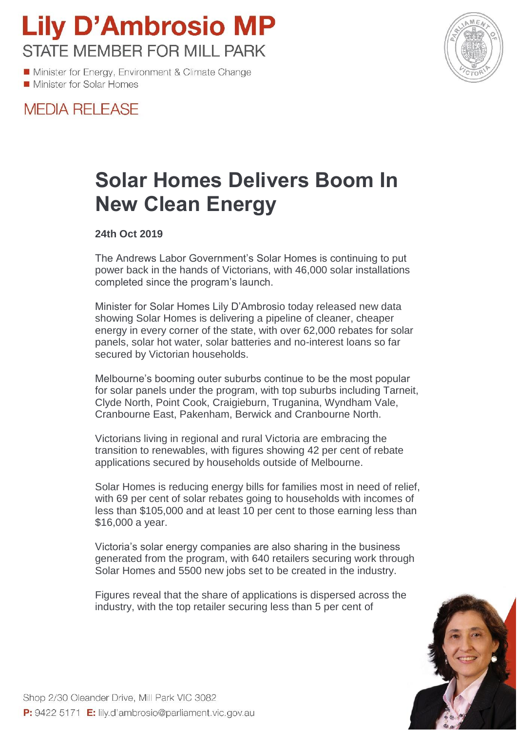**Lily D'Ambrosio MP STATE MEMBER FOR MILL PARK** 

Minister for Energy, Environment & Climate Change Minister for Solar Homes



## **MEDIA RELEASE**

## **Solar Homes Delivers Boom In New Clean Energy**

**24th Oct 2019**

The Andrews Labor Government's Solar Homes is continuing to put power back in the hands of Victorians, with 46,000 solar installations completed since the program's launch.

Minister for Solar Homes Lily D'Ambrosio today released new data showing Solar Homes is delivering a pipeline of cleaner, cheaper energy in every corner of the state, with over 62,000 rebates for solar panels, solar hot water, solar batteries and no-interest loans so far secured by Victorian households.

Melbourne's booming outer suburbs continue to be the most popular for solar panels under the program, with top suburbs including Tarneit, Clyde North, Point Cook, Craigieburn, Truganina, Wyndham Vale, Cranbourne East, Pakenham, Berwick and Cranbourne North.

Victorians living in regional and rural Victoria are embracing the transition to renewables, with figures showing 42 per cent of rebate applications secured by households outside of Melbourne.

Solar Homes is reducing energy bills for families most in need of relief, with 69 per cent of solar rebates going to households with incomes of less than \$105,000 and at least 10 per cent to those earning less than \$16,000 a year.

Victoria's solar energy companies are also sharing in the business generated from the program, with 640 retailers securing work through Solar Homes and 5500 new jobs set to be created in the industry.

Figures reveal that the share of applications is dispersed across the industry, with the top retailer securing less than 5 per cent of